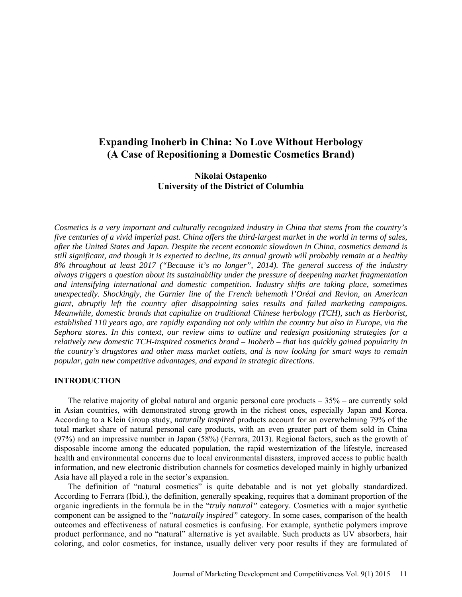# **Expanding Inoherb in China: No Love Without Herbology (A Case of Repositioning a Domestic Cosmetics Brand)**

# **Nikolai Ostapenko University of the District of Columbia**

*Cosmetics is a very important and culturally recognized industry in China that stems from the country's five centuries of a vivid imperial past. China offers the third-largest market in the world in terms of sales, after the United States and Japan. Despite the recent economic slowdown in China, cosmetics demand is still significant, and though it is expected to decline, its annual growth will probably remain at a healthy 8% throughout at least 2017 ("Because it's no longer", 2014). The general success of the industry always triggers a question about its sustainability under the pressure of deepening market fragmentation and intensifying international and domestic competition. Industry shifts are taking place, sometimes unexpectedly. Shockingly, the Garnier line of the French behemoth l'Oréal and Revlon, an American giant, abruptly left the country after disappointing sales results and failed marketing campaigns. Meanwhile, domestic brands that capitalize on traditional Chinese herbology (TCH), such as Herborist, established 110 years ago, are rapidly expanding not only within the country but also in Europe, via the Sephora stores. In this context, our review aims to outline and redesign positioning strategies for a relatively new domestic TCH-inspired cosmetics brand – Inoherb – that has quickly gained popularity in the country's drugstores and other mass market outlets, and is now looking for smart ways to remain popular, gain new competitive advantages, and expand in strategic directions.*

#### **INTRODUCTION**

The relative majority of global natural and organic personal care products  $-35%$  – are currently sold in Asian countries, with demonstrated strong growth in the richest ones, especially Japan and Korea. According to a Klein Group study, *naturally inspired* products account for an overwhelming 79% of the total market share of natural personal care products, with an even greater part of them sold in China (97%) and an impressive number in Japan (58%) (Ferrara, 2013). Regional factors, such as the growth of disposable income among the educated population, the rapid westernization of the lifestyle, increased health and environmental concerns due to local environmental disasters, improved access to public health information, and new electronic distribution channels for cosmetics developed mainly in highly urbanized Asia have all played a role in the sector's expansion.

The definition of "natural cosmetics" is quite debatable and is not yet globally standardized. According to Ferrara (Ibid.), the definition, generally speaking, requires that a dominant proportion of the organic ingredients in the formula be in the "*truly natural"* category. Cosmetics with a major synthetic component can be assigned to the "*naturally inspired"* category. In some cases, comparison of the health outcomes and effectiveness of natural cosmetics is confusing. For example, synthetic polymers improve product performance, and no "natural" alternative is yet available. Such products as UV absorbers, hair coloring, and color cosmetics, for instance, usually deliver very poor results if they are formulated of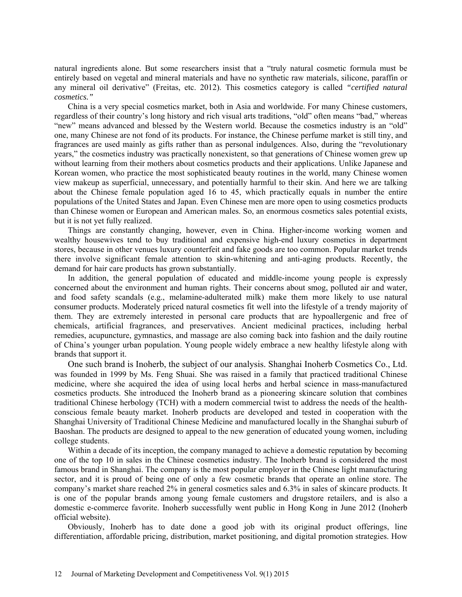natural ingredients alone. But some researchers insist that a "truly natural cosmetic formula must be entirely based on vegetal and mineral materials and have no synthetic raw materials, silicone, paraffin or any mineral oil derivative" (Freitas, etc. 2012). This cosmetics category is called *"certified natural cosmetics."*

China is a very special cosmetics market, both in Asia and worldwide. For many Chinese customers, regardless of their country's long history and rich visual arts traditions, "old" often means "bad," whereas "new" means advanced and blessed by the Western world. Because the cosmetics industry is an "old" one, many Chinese are not fond of its products. For instance, the Chinese perfume market is still tiny, and fragrances are used mainly as gifts rather than as personal indulgences. Also, during the "revolutionary years," the cosmetics industry was practically nonexistent, so that generations of Chinese women grew up without learning from their mothers about cosmetics products and their applications. Unlike Japanese and Korean women, who practice the most sophisticated beauty routines in the world, many Chinese women view makeup as superficial, unnecessary, and potentially harmful to their skin. And here we are talking about the Chinese female population aged 16 to 45, which practically equals in number the entire populations of the United States and Japan. Even Chinese men are more open to using cosmetics products than Chinese women or European and American males. So, an enormous cosmetics sales potential exists, but it is not yet fully realized.

Things are constantly changing, however, even in China. Higher-income working women and wealthy housewives tend to buy traditional and expensive high-end luxury cosmetics in department stores, because in other venues luxury counterfeit and fake goods are too common. Popular market trends there involve significant female attention to skin-whitening and anti-aging products. Recently, the demand for hair care products has grown substantially.

In addition, the general population of educated and middle-income young people is expressly concerned about the environment and human rights. Their concerns about smog, polluted air and water, and food safety scandals (e.g., melamine-adulterated milk) make them more likely to use natural consumer products. Moderately priced natural cosmetics fit well into the lifestyle of a trendy majority of them. They are extremely interested in personal care products that are hypoallergenic and free of chemicals, artificial fragrances, and preservatives. Ancient medicinal practices, including herbal remedies, acupuncture, gymnastics, and massage are also coming back into fashion and the daily routine of China's younger urban population. Young people widely embrace a new healthy lifestyle along with brands that support it.

One such brand is Inoherb, the subject of our analysis. Shanghai Inoherb Cosmetics Co., Ltd. was founded in 1999 by Ms. Feng Shuai. She was raised in a family that practiced traditional Chinese medicine, where she acquired the idea of using local herbs and herbal science in mass-manufactured cosmetics products. She introduced the Inoherb brand as a pioneering skincare solution that combines traditional Chinese herbology (TCH) with a modern commercial twist to address the needs of the healthconscious female beauty market. Inoherb products are developed and tested in cooperation with the Shanghai University of Traditional Chinese Medicine and manufactured locally in the Shanghai suburb of Baoshan. The products are designed to appeal to the new generation of educated young women, including college students.

Within a decade of its inception, the company managed to achieve a domestic reputation by becoming one of the top 10 in sales in the Chinese cosmetics industry. The Inoherb brand is considered the most famous brand in Shanghai. The company is the most popular employer in the Chinese light manufacturing sector, and it is proud of being one of only a few cosmetic brands that operate an online store. The company's market share reached 2% in general cosmetics sales and 6.3% in sales of skincare products. It is one of the popular brands among young female customers and drugstore retailers, and is also a domestic e-commerce favorite. Inoherb successfully went public in Hong Kong in June 2012 (Inoherb official website).

Obviously, Inoherb has to date done a good job with its original product offerings, line differentiation, affordable pricing, distribution, market positioning, and digital promotion strategies. How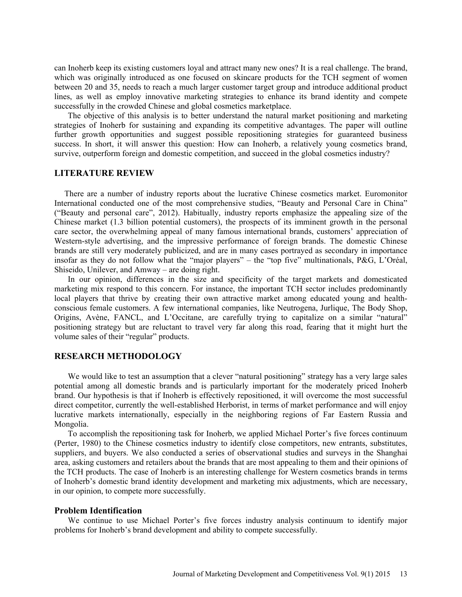can Inoherb keep its existing customers loyal and attract many new ones? It is a real challenge. The brand, which was originally introduced as one focused on skincare products for the TCH segment of women between 20 and 35, needs to reach a much larger customer target group and introduce additional product lines, as well as employ innovative marketing strategies to enhance its brand identity and compete successfully in the crowded Chinese and global cosmetics marketplace.

The objective of this analysis is to better understand the natural market positioning and marketing strategies of Inoherb for sustaining and expanding its competitive advantages. The paper will outline further growth opportunities and suggest possible repositioning strategies for guaranteed business success. In short, it will answer this question: How can Inoherb, a relatively young cosmetics brand, survive, outperform foreign and domestic competition, and succeed in the global cosmetics industry?

## **LITERATURE REVIEW**

There are a number of industry reports about the lucrative Chinese cosmetics market. Euromonitor International conducted one of the most comprehensive studies, "Beauty and Personal Care in China" ("Beauty and personal care", 2012). Habitually, industry reports emphasize the appealing size of the Chinese market (1.3 billion potential customers), the prospects of its imminent growth in the personal care sector, the overwhelming appeal of many famous international brands, customers' appreciation of Western-style advertising, and the impressive performance of foreign brands. The domestic Chinese brands are still very moderately publicized, and are in many cases portrayed as secondary in importance insofar as they do not follow what the "major players" – the "top five" multinationals, P&G, L'Oréal, Shiseido, Unilever, and Amway – are doing right.

In our opinion, differences in the size and specificity of the target markets and domesticated marketing mix respond to this concern. For instance, the important TCH sector includes predominantly local players that thrive by creating their own attractive market among educated young and healthconscious female customers. A few international companies, like Neutrogena, Jurlique, The Body Shop, Origins, Avène, FANCL, and L'Occitane, are carefully trying to capitalize on a similar "natural" positioning strategy but are reluctant to travel very far along this road, fearing that it might hurt the volume sales of their "regular" products.

# **RESEARCH METHODOLOGY**

We would like to test an assumption that a clever "natural positioning" strategy has a very large sales potential among all domestic brands and is particularly important for the moderately priced Inoherb brand. Our hypothesis is that if Inoherb is effectively repositioned, it will overcome the most successful direct competitor, currently the well-established Herborist, in terms of market performance and will enjoy lucrative markets internationally, especially in the neighboring regions of Far Eastern Russia and Mongolia.

To accomplish the repositioning task for Inoherb, we applied Michael Porter's five forces continuum (Perter, 1980) to the Chinese cosmetics industry to identify close competitors, new entrants, substitutes, suppliers, and buyers. We also conducted a series of observational studies and surveys in the Shanghai area, asking customers and retailers about the brands that are most appealing to them and their opinions of the TCH products. The case of Inoherb is an interesting challenge for Western cosmetics brands in terms of Inoherb's domestic brand identity development and marketing mix adjustments, which are necessary, in our opinion, to compete more successfully.

### **Problem Identification**

We continue to use Michael Porter's five forces industry analysis continuum to identify major problems for Inoherb's brand development and ability to compete successfully.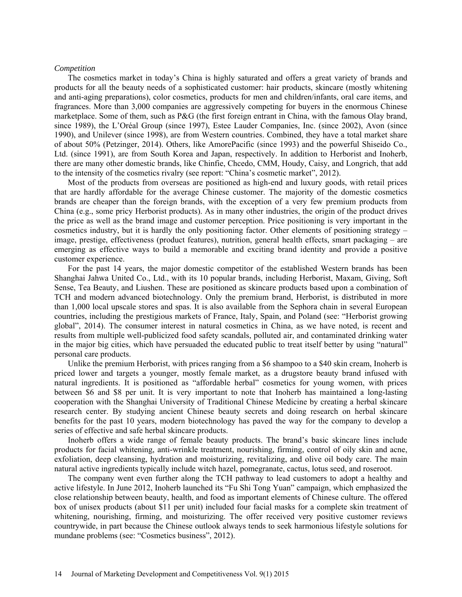#### *Competition*

The cosmetics market in today's China is highly saturated and offers a great variety of brands and products for all the beauty needs of a sophisticated customer: hair products, skincare (mostly whitening and anti-aging preparations), color cosmetics, products for men and children/infants, oral care items, and fragrances. More than 3,000 companies are aggressively competing for buyers in the enormous Chinese marketplace. Some of them, such as P&G (the first foreign entrant in China, with the famous Olay brand, since 1989), the L'Oréal Group (since 1997), Estee Lauder Companies, Inc. (since 2002), Avon (since 1990), and Unilever (since 1998), are from Western countries. Combined, they have a total market share of about 50% (Petzinger, 2014). Others, like AmorePacific (since 1993) and the powerful Shiseido Co., Ltd. (since 1991), are from South Korea and Japan, respectively. In addition to Herborist and Inoherb, there are many other domestic brands, like Chinfie, Chcedo, CMM, Houdy, Caisy, and Longrich, that add to the intensity of the cosmetics rivalry (see report: "China's cosmetic market", 2012).

Most of the products from overseas are positioned as high-end and luxury goods, with retail prices that are hardly affordable for the average Chinese customer. The majority of the domestic cosmetics brands are cheaper than the foreign brands, with the exception of a very few premium products from China (e.g., some pricy Herborist products). As in many other industries, the origin of the product drives the price as well as the brand image and customer perception. Price positioning is very important in the cosmetics industry, but it is hardly the only positioning factor. Other elements of positioning strategy – image, prestige, effectiveness (product features), nutrition, general health effects, smart packaging – are emerging as effective ways to build a memorable and exciting brand identity and provide a positive customer experience.

For the past 14 years, the major domestic competitor of the established Western brands has been Shanghai Jahwa United Co., Ltd., with its 10 popular brands, including Herborist, Maxam, Giving, Soft Sense, Tea Beauty, and Liushen. These are positioned as skincare products based upon a combination of TCH and modern advanced biotechnology. Only the premium brand, Herborist, is distributed in more than 1,000 local upscale stores and spas. It is also available from the Sephora chain in several European countries, including the prestigious markets of France, Italy, Spain, and Poland (see: "Herborist growing global", 2014). The consumer interest in natural cosmetics in China, as we have noted, is recent and results from multiple well-publicized food safety scandals, polluted air, and contaminated drinking water in the major big cities, which have persuaded the educated public to treat itself better by using "natural" personal care products.

Unlike the premium Herborist, with prices ranging from a \$6 shampoo to a \$40 skin cream, Inoherb is priced lower and targets a younger, mostly female market, as a drugstore beauty brand infused with natural ingredients. It is positioned as "affordable herbal" cosmetics for young women, with prices between \$6 and \$8 per unit. It is very important to note that Inoherb has maintained a long-lasting cooperation with the Shanghai University of Traditional Chinese Medicine by creating a herbal skincare research center. By studying ancient Chinese beauty secrets and doing research on herbal skincare benefits for the past 10 years, modern biotechnology has paved the way for the company to develop a series of effective and safe herbal skincare products.

Inoherb offers a wide range of female beauty products. The brand's basic skincare lines include products for facial whitening, anti-wrinkle treatment, nourishing, firming, control of oily skin and acne, exfoliation, deep cleansing, hydration and moisturizing, revitalizing, and olive oil body care. The main natural active ingredients typically include witch hazel, pomegranate, cactus, lotus seed, and roseroot.

The company went even further along the TCH pathway to lead customers to adopt a healthy and active lifestyle. In June 2012, Inoherb launched its "Fu Shi Tong Yuan" campaign, which emphasized the close relationship between beauty, health, and food as important elements of Chinese culture. The offered box of unisex products (about \$11 per unit) included four facial masks for a complete skin treatment of whitening, nourishing, firming, and moisturizing. The offer received very positive customer reviews countrywide, in part because the Chinese outlook always tends to seek harmonious lifestyle solutions for mundane problems (see: "Cosmetics business", 2012).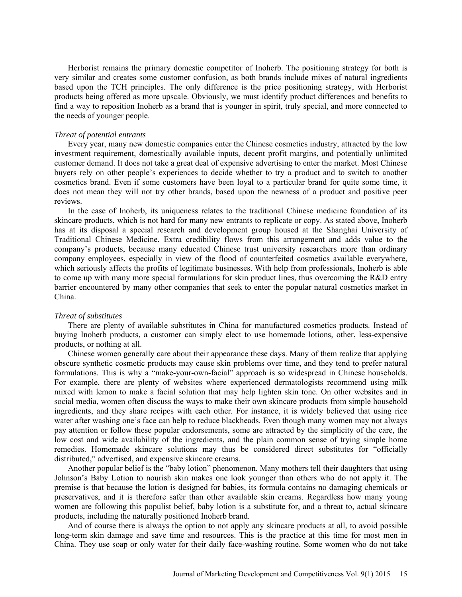Herborist remains the primary domestic competitor of Inoherb. The positioning strategy for both is very similar and creates some customer confusion, as both brands include mixes of natural ingredients based upon the TCH principles. The only difference is the price positioning strategy, with Herborist products being offered as more upscale. Obviously, we must identify product differences and benefits to find a way to reposition Inoherb as a brand that is younger in spirit, truly special, and more connected to the needs of younger people.

#### *Threat of potential entrants*

Every year, many new domestic companies enter the Chinese cosmetics industry, attracted by the low investment requirement, domestically available inputs, decent profit margins, and potentially unlimited customer demand. It does not take a great deal of expensive advertising to enter the market. Most Chinese buyers rely on other people's experiences to decide whether to try a product and to switch to another cosmetics brand. Even if some customers have been loyal to a particular brand for quite some time, it does not mean they will not try other brands, based upon the newness of a product and positive peer reviews.

In the case of Inoherb, its uniqueness relates to the traditional Chinese medicine foundation of its skincare products, which is not hard for many new entrants to replicate or copy. As stated above, Inoherb has at its disposal a special research and development group housed at the Shanghai University of Traditional Chinese Medicine. Extra credibility flows from this arrangement and adds value to the company's products, because many educated Chinese trust university researchers more than ordinary company employees, especially in view of the flood of counterfeited cosmetics available everywhere, which seriously affects the profits of legitimate businesses. With help from professionals, Inoherb is able to come up with many more special formulations for skin product lines, thus overcoming the R&D entry barrier encountered by many other companies that seek to enter the popular natural cosmetics market in China.

#### *Threat of substitutes*

There are plenty of available substitutes in China for manufactured cosmetics products. Instead of buying Inoherb products, a customer can simply elect to use homemade lotions, other, less-expensive products, or nothing at all.

Chinese women generally care about their appearance these days. Many of them realize that applying obscure synthetic cosmetic products may cause skin problems over time, and they tend to prefer natural formulations. This is why a "make-your-own-facial" approach is so widespread in Chinese households. For example, there are plenty of websites where experienced dermatologists recommend using milk mixed with lemon to make a facial solution that may help lighten skin tone. On other websites and in social media, women often discuss the ways to make their own skincare products from simple household ingredients, and they share recipes with each other. For instance, it is widely believed that using rice water after washing one's face can help to reduce blackheads. Even though many women may not always pay attention or follow these popular endorsements, some are attracted by the simplicity of the care, the low cost and wide availability of the ingredients, and the plain common sense of trying simple home remedies. Homemade skincare solutions may thus be considered direct substitutes for "officially distributed," advertised, and expensive skincare creams.

Another popular belief is the "baby lotion" phenomenon. Many mothers tell their daughters that using Johnson's Baby Lotion to nourish skin makes one look younger than others who do not apply it. The premise is that because the lotion is designed for babies, its formula contains no damaging chemicals or preservatives, and it is therefore safer than other available skin creams. Regardless how many young women are following this populist belief, baby lotion is a substitute for, and a threat to, actual skincare products, including the naturally positioned Inoherb brand.

And of course there is always the option to not apply any skincare products at all, to avoid possible long-term skin damage and save time and resources. This is the practice at this time for most men in China. They use soap or only water for their daily face-washing routine. Some women who do not take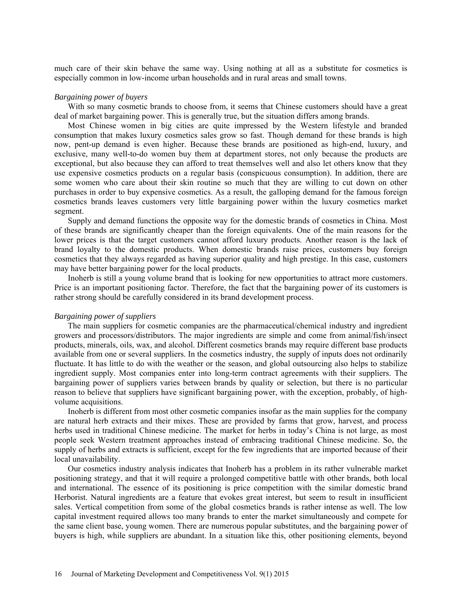much care of their skin behave the same way. Using nothing at all as a substitute for cosmetics is especially common in low-income urban households and in rural areas and small towns.

#### *Bargaining power of buyers*

With so many cosmetic brands to choose from, it seems that Chinese customers should have a great deal of market bargaining power. This is generally true, but the situation differs among brands.

Most Chinese women in big cities are quite impressed by the Western lifestyle and branded consumption that makes luxury cosmetics sales grow so fast. Though demand for these brands is high now, pent-up demand is even higher. Because these brands are positioned as high-end, luxury, and exclusive, many well-to-do women buy them at department stores, not only because the products are exceptional, but also because they can afford to treat themselves well and also let others know that they use expensive cosmetics products on a regular basis (conspicuous consumption). In addition, there are some women who care about their skin routine so much that they are willing to cut down on other purchases in order to buy expensive cosmetics. As a result, the galloping demand for the famous foreign cosmetics brands leaves customers very little bargaining power within the luxury cosmetics market segment.

Supply and demand functions the opposite way for the domestic brands of cosmetics in China. Most of these brands are significantly cheaper than the foreign equivalents. One of the main reasons for the lower prices is that the target customers cannot afford luxury products. Another reason is the lack of brand loyalty to the domestic products. When domestic brands raise prices, customers buy foreign cosmetics that they always regarded as having superior quality and high prestige. In this case, customers may have better bargaining power for the local products.

Inoherb is still a young volume brand that is looking for new opportunities to attract more customers. Price is an important positioning factor. Therefore, the fact that the bargaining power of its customers is rather strong should be carefully considered in its brand development process.

#### *Bargaining power of suppliers*

The main suppliers for cosmetic companies are the pharmaceutical/chemical industry and ingredient growers and processors/distributors. The major ingredients are simple and come from animal/fish/insect products, minerals, oils, wax, and alcohol. Different cosmetics brands may require different base products available from one or several suppliers. In the cosmetics industry, the supply of inputs does not ordinarily fluctuate. It has little to do with the weather or the season, and global outsourcing also helps to stabilize ingredient supply. Most companies enter into long-term contract agreements with their suppliers. The bargaining power of suppliers varies between brands by quality or selection, but there is no particular reason to believe that suppliers have significant bargaining power, with the exception, probably, of highvolume acquisitions.

Inoherb is different from most other cosmetic companies insofar as the main supplies for the company are natural herb extracts and their mixes. These are provided by farms that grow, harvest, and process herbs used in traditional Chinese medicine. The market for herbs in today's China is not large, as most people seek Western treatment approaches instead of embracing traditional Chinese medicine. So, the supply of herbs and extracts is sufficient, except for the few ingredients that are imported because of their local unavailability.

Our cosmetics industry analysis indicates that Inoherb has a problem in its rather vulnerable market positioning strategy, and that it will require a prolonged competitive battle with other brands, both local and international. The essence of its positioning is price competition with the similar domestic brand Herborist. Natural ingredients are a feature that evokes great interest, but seem to result in insufficient sales. Vertical competition from some of the global cosmetics brands is rather intense as well. The low capital investment required allows too many brands to enter the market simultaneously and compete for the same client base, young women. There are numerous popular substitutes, and the bargaining power of buyers is high, while suppliers are abundant. In a situation like this, other positioning elements, beyond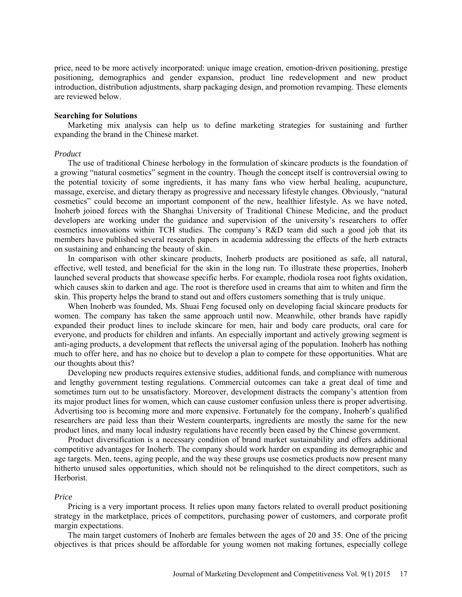price, need to be more actively incorporated: unique image creation, emotion-driven positioning, prestige positioning, demographics and gender expansion, product line redevelopment and new product introduction, distribution adjustments, sharp packaging design, and promotion revamping. These elements are reviewed below.

#### **Searching for Solutions**

Marketing mix analysis can help us to define marketing strategies for sustaining and further expanding the brand in the Chinese market.

#### *Product*

The use of traditional Chinese herbology in the formulation of skincare products is the foundation of a growing "natural cosmetics" segment in the country. Though the concept itself is controversial owing to the potential toxicity of some ingredients, it has many fans who view herbal healing, acupuncture, massage, exercise, and dietary therapy as progressive and necessary lifestyle changes. Obviously, "natural cosmetics" could become an important component of the new, healthier lifestyle. As we have noted, Inoherb joined forces with the Shanghai University of Traditional Chinese Medicine, and the product developers are working under the guidance and supervision of the university's researchers to offer cosmetics innovations within TCH studies. The company's R&D team did such a good job that its members have published several research papers in academia addressing the effects of the herb extracts on sustaining and enhancing the beauty of skin.

In comparison with other skincare products, Inoherb products are positioned as safe, all natural, effective, well tested, and beneficial for the skin in the long run. To illustrate these properties, Inoherb launched several products that showcase specific herbs. For example, rhodiola rosea root fights oxidation, which causes skin to darken and age. The root is therefore used in creams that aim to whiten and firm the skin. This property helps the brand to stand out and offers customers something that is truly unique.

When Inoherb was founded, Ms. Shuai Feng focused only on developing facial skincare products for women. The company has taken the same approach until now. Meanwhile, other brands have rapidly expanded their product lines to include skincare for men, hair and body care products, oral care for everyone, and products for children and infants. An especially important and actively growing segment is anti-aging products, a development that reflects the universal aging of the population. Inoherb has nothing much to offer here, and has no choice but to develop a plan to compete for these opportunities. What are our thoughts about this?

Developing new products requires extensive studies, additional funds, and compliance with numerous and lengthy government testing regulations. Commercial outcomes can take a great deal of time and sometimes turn out to be unsatisfactory. Moreover, development distracts the company's attention from its major product lines for women, which can cause customer confusion unless there is proper advertising. Advertising too is becoming more and more expensive. Fortunately for the company, Inoherb's qualified researchers are paid less than their Western counterparts, ingredients are mostly the same for the new product lines, and many local industry regulations have recently been eased by the Chinese government.

Product diversification is a necessary condition of brand market sustainability and offers additional competitive advantages for Inoherb. The company should work harder on expanding its demographic and age targets. Men, teens, aging people, and the way these groups use cosmetics products now present many hitherto unused sales opportunities, which should not be relinquished to the direct competitors, such as Herborist.

#### *Price*

Pricing is a very important process. It relies upon many factors related to overall product positioning strategy in the marketplace, prices of competitors, purchasing power of customers, and corporate profit margin expectations.

The main target customers of Inoherb are females between the ages of 20 and 35. One of the pricing objectives is that prices should be affordable for young women not making fortunes, especially college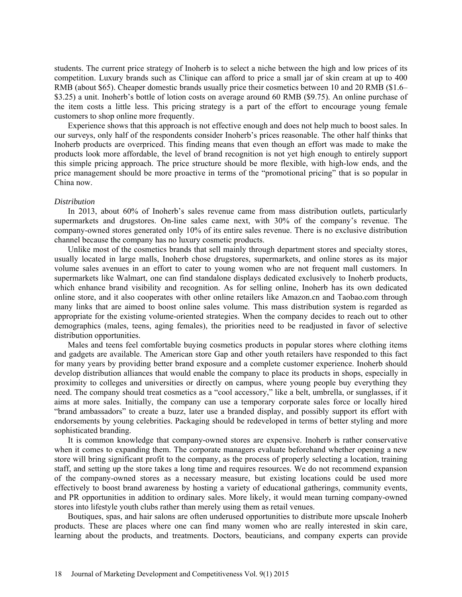students. The current price strategy of Inoherb is to select a niche between the high and low prices of its competition. Luxury brands such as Clinique can afford to price a small jar of skin cream at up to 400 RMB (about \$65). Cheaper domestic brands usually price their cosmetics between 10 and 20 RMB (\$1.6– \$3.25) a unit. Inoherb's bottle of lotion costs on average around 60 RMB (\$9.75). An online purchase of the item costs a little less. This pricing strategy is a part of the effort to encourage young female customers to shop online more frequently.

Experience shows that this approach is not effective enough and does not help much to boost sales. In our surveys, only half of the respondents consider Inoherb's prices reasonable. The other half thinks that Inoherb products are overpriced. This finding means that even though an effort was made to make the products look more affordable, the level of brand recognition is not yet high enough to entirely support this simple pricing approach. The price structure should be more flexible, with high-low ends, and the price management should be more proactive in terms of the "promotional pricing" that is so popular in China now.

## *Distribution*

In 2013, about 60% of Inoherb's sales revenue came from mass distribution outlets, particularly supermarkets and drugstores. On-line sales came next, with 30% of the company's revenue. The company-owned stores generated only 10% of its entire sales revenue. There is no exclusive distribution channel because the company has no luxury cosmetic products.

Unlike most of the cosmetics brands that sell mainly through department stores and specialty stores, usually located in large malls, Inoherb chose drugstores, supermarkets, and online stores as its major volume sales avenues in an effort to cater to young women who are not frequent mall customers. In supermarkets like Walmart, one can find standalone displays dedicated exclusively to Inoherb products, which enhance brand visibility and recognition. As for selling online, Inoherb has its own dedicated online store, and it also cooperates with other online retailers like Amazon.cn and Taobao.com through many links that are aimed to boost online sales volume. This mass distribution system is regarded as appropriate for the existing volume-oriented strategies. When the company decides to reach out to other demographics (males, teens, aging females), the priorities need to be readjusted in favor of selective distribution opportunities.

Males and teens feel comfortable buying cosmetics products in popular stores where clothing items and gadgets are available. The American store Gap and other youth retailers have responded to this fact for many years by providing better brand exposure and a complete customer experience. Inoherb should develop distribution alliances that would enable the company to place its products in shops, especially in proximity to colleges and universities or directly on campus, where young people buy everything they need. The company should treat cosmetics as a "cool accessory," like a belt, umbrella, or sunglasses, if it aims at more sales. Initially, the company can use a temporary corporate sales force or locally hired "brand ambassadors" to create a buzz, later use a branded display, and possibly support its effort with endorsements by young celebrities. Packaging should be redeveloped in terms of better styling and more sophisticated branding.

It is common knowledge that company-owned stores are expensive. Inoherb is rather conservative when it comes to expanding them. The corporate managers evaluate beforehand whether opening a new store will bring significant profit to the company, as the process of properly selecting a location, training staff, and setting up the store takes a long time and requires resources. We do not recommend expansion of the company-owned stores as a necessary measure, but existing locations could be used more effectively to boost brand awareness by hosting a variety of educational gatherings, community events, and PR opportunities in addition to ordinary sales. More likely, it would mean turning company-owned stores into lifestyle youth clubs rather than merely using them as retail venues.

Boutiques, spas, and hair salons are often underused opportunities to distribute more upscale Inoherb products. These are places where one can find many women who are really interested in skin care, learning about the products, and treatments. Doctors, beauticians, and company experts can provide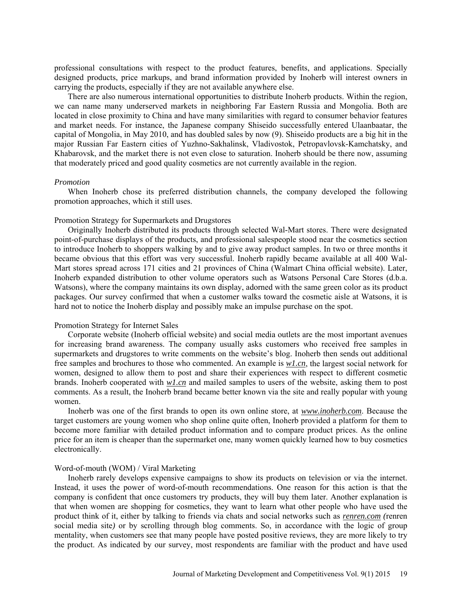professional consultations with respect to the product features, benefits, and applications. Specially designed products, price markups, and brand information provided by Inoherb will interest owners in carrying the products, especially if they are not available anywhere else.

There are also numerous international opportunities to distribute Inoherb products. Within the region, we can name many underserved markets in neighboring Far Eastern Russia and Mongolia. Both are located in close proximity to China and have many similarities with regard to consumer behavior features and market needs. For instance, the Japanese company Shiseido successfully entered Ulaanbaatar, the capital of Mongolia, in May 2010, and has doubled sales by now (9). Shiseido products are a big hit in the major Russian Far Eastern cities of Yuzhno-Sakhalinsk, Vladivostok, Petropavlovsk-Kamchatsky, and Khabarovsk, and the market there is not even close to saturation. Inoherb should be there now, assuming that moderately priced and good quality cosmetics are not currently available in the region.

## *Promotion*

When Inoherb chose its preferred distribution channels, the company developed the following promotion approaches, which it still uses.

#### Promotion Strategy for Supermarkets and Drugstores

Originally Inoherb distributed its products through selected Wal-Mart stores. There were designated point-of-purchase displays of the products, and professional salespeople stood near the cosmetics section to introduce Inoherb to shoppers walking by and to give away product samples. In two or three months it became obvious that this effort was very successful. Inoherb rapidly became available at all 400 Wal-Mart stores spread across 171 cities and 21 provinces of China (Walmart China official website). Later, Inoherb expanded distribution to other volume operators such as Watsons Personal Care Stores (d.b.a. Watsons), where the company maintains its own display, adorned with the same green color as its product packages. Our survey confirmed that when a customer walks toward the cosmetic aisle at Watsons, it is hard not to notice the Inoherb display and possibly make an impulse purchase on the spot.

## Promotion Strategy for Internet Sales

Corporate website (Inoherb official website) and social media outlets are the most important avenues for increasing brand awareness. The company usually asks customers who received free samples in supermarkets and drugstores to write comments on the website's blog. Inoherb then sends out additional free samples and brochures to those who commented. An example is *w1.cn*, the largest social network for women, designed to allow them to post and share their experiences with respect to different cosmetic brands. Inoherb cooperated with *w1.cn* and mailed samples to users of the website, asking them to post comments. As a result, the Inoherb brand became better known via the site and really popular with young women.

Inoherb was one of the first brands to open its own online store, at *www.inoherb.com*. Because the target customers are young women who shop online quite often, Inoherb provided a platform for them to become more familiar with detailed product information and to compare product prices. As the online price for an item is cheaper than the supermarket one, many women quickly learned how to buy cosmetics electronically.

## Word-of-mouth (WOM) / Viral Marketing

Inoherb rarely develops expensive campaigns to show its products on television or via the internet. Instead, it uses the power of word-of-mouth recommendations. One reason for this action is that the company is confident that once customers try products, they will buy them later. Another explanation is that when women are shopping for cosmetics, they want to learn what other people who have used the product think of it, either by talking to friends via chats and social networks such as *renren.com (*renren social media site) or by scrolling through blog comments. So, in accordance with the logic of group mentality, when customers see that many people have posted positive reviews, they are more likely to try the product. As indicated by our survey, most respondents are familiar with the product and have used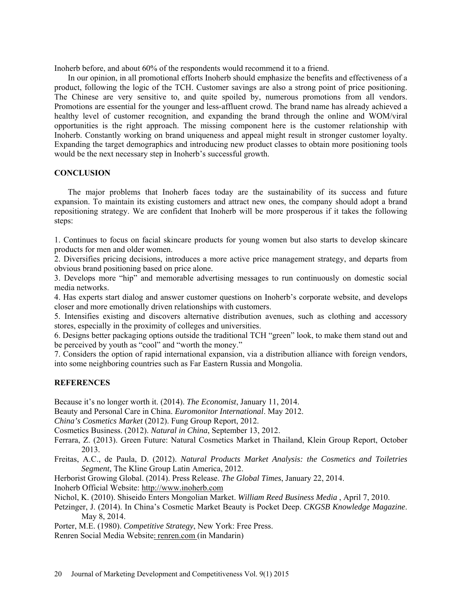Inoherb before, and about 60% of the respondents would recommend it to a friend.

In our opinion, in all promotional efforts Inoherb should emphasize the benefits and effectiveness of a product, following the logic of the TCH. Customer savings are also a strong point of price positioning. The Chinese are very sensitive to, and quite spoiled by, numerous promotions from all vendors. Promotions are essential for the younger and less-affluent crowd. The brand name has already achieved a healthy level of customer recognition, and expanding the brand through the online and WOM/viral opportunities is the right approach. The missing component here is the customer relationship with Inoherb. Constantly working on brand uniqueness and appeal might result in stronger customer loyalty. Expanding the target demographics and introducing new product classes to obtain more positioning tools would be the next necessary step in Inoherb's successful growth.

## **CONCLUSION**

The major problems that Inoherb faces today are the sustainability of its success and future expansion. To maintain its existing customers and attract new ones, the company should adopt a brand repositioning strategy. We are confident that Inoherb will be more prosperous if it takes the following steps:

1. Continues to focus on facial skincare products for young women but also starts to develop skincare products for men and older women.

2. Diversifies pricing decisions, introduces a more active price management strategy, and departs from obvious brand positioning based on price alone.

3. Develops more "hip" and memorable advertising messages to run continuously on domestic social media networks.

4. Has experts start dialog and answer customer questions on Inoherb's corporate website, and develops closer and more emotionally driven relationships with customers.

5. Intensifies existing and discovers alternative distribution avenues, such as clothing and accessory stores, especially in the proximity of colleges and universities.

6. Designs better packaging options outside the traditional TCH "green" look, to make them stand out and be perceived by youth as "cool" and "worth the money."

7. Considers the option of rapid international expansion, via a distribution alliance with foreign vendors, into some neighboring countries such as Far Eastern Russia and Mongolia.

## **REFERENCES**

Because it's no longer worth it. (2014). *The Economist*, January 11, 2014.

Beauty and Personal Care in China. *Euromonitor International*. May 2012.

*China's Cosmetics Market* (2012). Fung Group Report, 2012.

Cosmetics Business. (2012). *Natural in China*, September 13, 2012.

- Ferrara, Z. (2013). Green Future: Natural Cosmetics Market in Thailand, Klein Group Report, October 2013.
- Freitas, A.C., de Paula, D. (2012). *Natural Products Market Analysis: the Cosmetics and Toiletries Segment*, The Kline Group Latin America, 2012.

Herborist Growing Global. (2014). Press Release. *The Global Times*, January 22, 2014.

Inoherb Official Website: http://www.inoherb.com

Nichol, K. (2010). Shiseido Enters Mongolian Market. *William Reed Business Media* , April 7, 2010.

Petzinger, J. (2014). In China's Cosmetic Market Beauty is Pocket Deep. *CKGSB Knowledge Magazine*. May 8, 2014.

Porter, M.E. (1980). *Competitive Strategy*, New York: Free Press.

Renren Social Media Website: renren.com (in Mandarin)